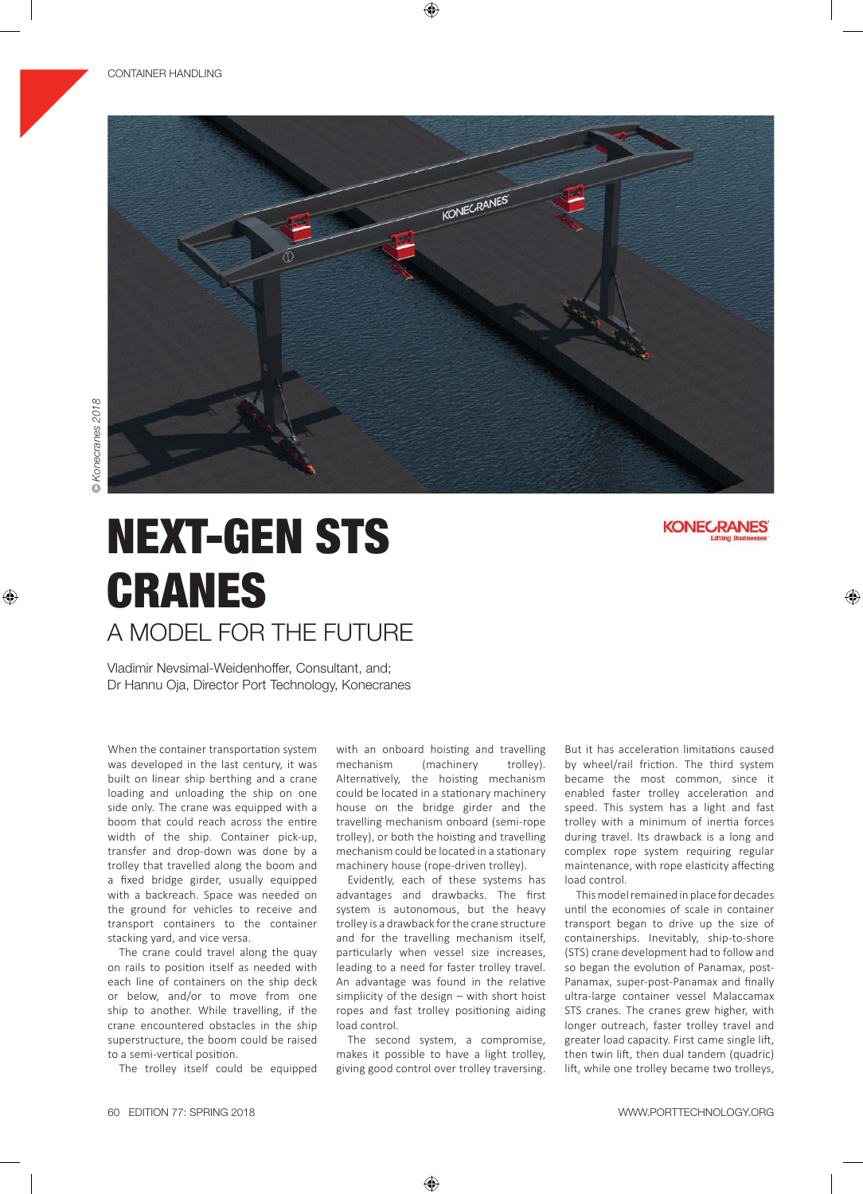

# NEXT-GEN STS CRANES A MODEL FOR THE FUTURE

Vladimir Nevsimal-Weidenhoffer, Consultant, and; Dr Hannu Oja, Director Port Technology, Konecranes

When the container transportation system was developed in the last century, it was built on linear ship berthing and a crane loading and unloading the ship on one side only. The crane was equipped with a boom that could reach across the entire width of the ship. Container pick-up, transfer and drop-down was done by a trolley that travelled along the boom and a fixed bridge girder, usually equipped with a backreach. Space was needed on the ground for vehicles to receive and transport containers to the container stacking yard, and vice versa.

The crane could travel along the quay on rails to position itself as needed with each line of containers on the ship deck or below, and/or to move from one ship to another. While travelling, if the crane encountered obstacles in the ship superstructure, the boom could be raised to a semi-vertical position.

The trolley itself could be equipped

with an onboard hoisting and travelling mechanism (machinery trolley). Alternatively, the hoisting mechanism could be located in a stationary machinery house on the bridge girder and the travelling mechanism onboard (semi-rope trolley), or both the hoisting and travelling mechanism could be located in a stationary machinery house (rope-driven trolley).

Evidently, each of these systems has advantages and drawbacks. The first system is autonomous, but the heavy trolley is a drawback for the crane structure and for the travelling mechanism itself, particularly when vessel size increases, leading to a need for faster trolley travel. An advantage was found in the relative simplicity of the design – with short hoist ropes and fast trolley positioning aiding load control.

The second system, a compromise, makes it possible to have a light trolley, giving good control over trolley traversing.

But it has acceleration limitations caused by wheel/rail friction. The third system became the most common, since it enabled faster trolley acceleration and speed. This system has a light and fast trolley with a minimum of inertia forces during travel. Its drawback is a long and complex rope system requiring regular maintenance, with rope elasticity affecting load control.

This model remained in place for decades until the economies of scale in container transport began to drive up the size of containerships. Inevitably, ship-to-shore (STS) crane development had to follow and so began the evolution of Panamax, post-Panamax, super-post-Panamax and finally ultra-large container vessel Malaccamax STS cranes. The cranes grew higher, with longer outreach, faster trolley travel and greater load capacity. First came single lift, then twin lift, then dual tandem (quadric) lift, while one trolley became two trolleys,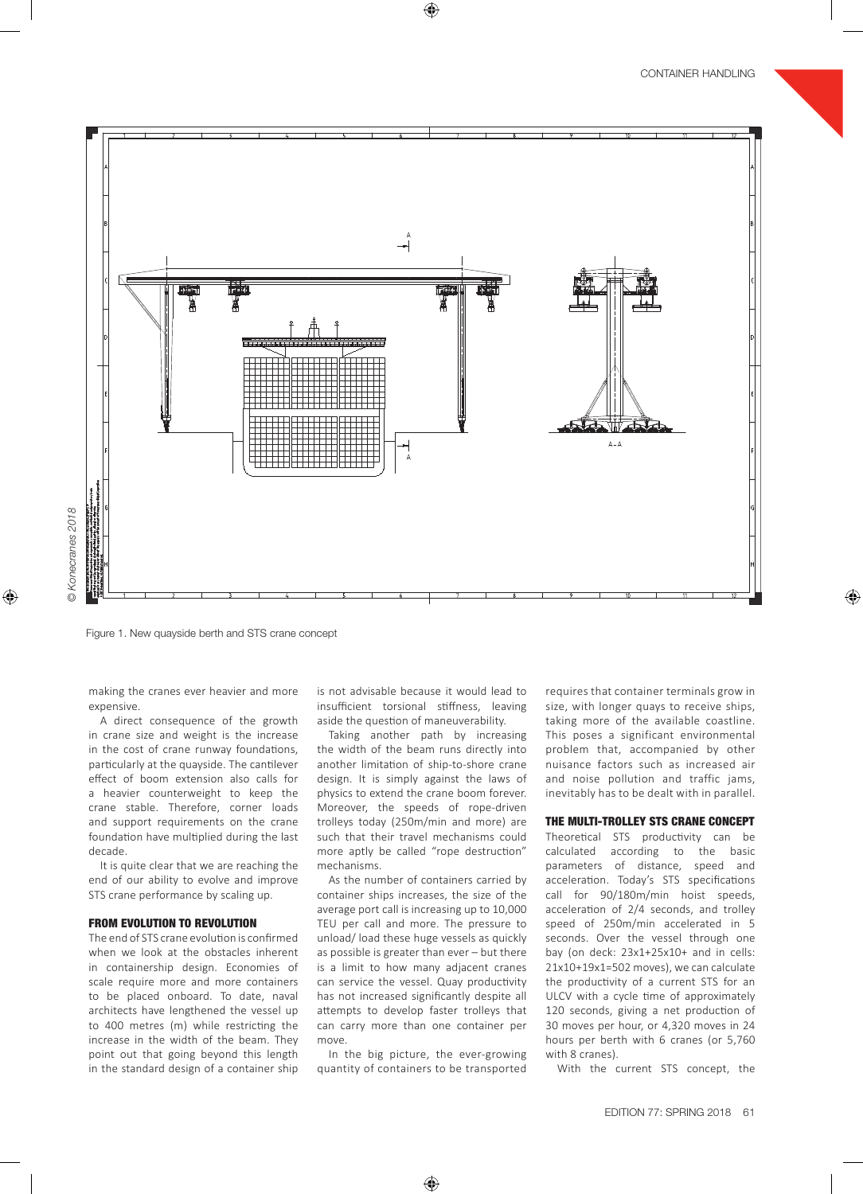

Konecranes 2018 *© Konecranes 2018*

Figure 1. New quayside berth and STS crane concept

making the cranes ever heavier and more expensive.

A direct consequence of the growth in crane size and weight is the increase in the cost of crane runway foundations, particularly at the quayside. The cantilever effect of boom extension also calls for a heavier counterweight to keep the crane stable. Therefore, corner loads and support requirements on the crane foundation have multiplied during the last decade.

It is quite clear that we are reaching the end of our ability to evolve and improve STS crane performance by scaling up.

## FROM EVOLUTION TO REVOLUTION

The end of STS crane evolution is confirmed when we look at the obstacles inherent in containership design. Economies of scale require more and more containers to be placed onboard. To date, naval architects have lengthened the vessel up to 400 metres (m) while restricting the increase in the width of the beam. They point out that going beyond this length in the standard design of a container ship is not advisable because it would lead to insufficient torsional stiffness, leaving aside the question of maneuverability.

Taking another path by increasing the width of the beam runs directly into another limitation of ship-to-shore crane design. It is simply against the laws of physics to extend the crane boom forever. Moreover, the speeds of rope-driven trolleys today (250m/min and more) are such that their travel mechanisms could more aptly be called "rope destruction" mechanisms.

As the number of containers carried by container ships increases, the size of the average port call is increasing up to 10,000 TEU per call and more. The pressure to unload/load these huge vessels as quickly as possible is greater than ever – but there is a limit to how many adjacent cranes can service the vessel. Quay productivity has not increased significantly despite all attempts to develop faster trolleys that can carry more than one container per move.

In the big picture, the ever-growing quantity of containers to be transported requires that container terminals grow in size, with longer quays to receive ships, taking more of the available coastline. This poses a significant environmental problem that, accompanied by other nuisance factors such as increased air and noise pollution and traffic jams, inevitably has to be dealt with in parallel.

## THE MULTI-TROLLEY STS CRANE CONCEPT

Theoretical STS productivity can be calculated according to the basic parameters of distance, speed and acceleration. Today's STS specifications call for 90/180m/min hoist speeds, acceleration of 2/4 seconds, and trolley speed of 250m/min accelerated in 5 seconds. Over the vessel through one bay (on deck: 23x1+25x10+ and in cells: 21x10+19x1=502 moves), we can calculate the productivity of a current STS for an ULCV with a cycle time of approximately 120 seconds, giving a net production of 30 moves per hour, or 4,320 moves in 24 hours per berth with 6 cranes (or 5,760 with 8 cranes).

With the current STS concept, the